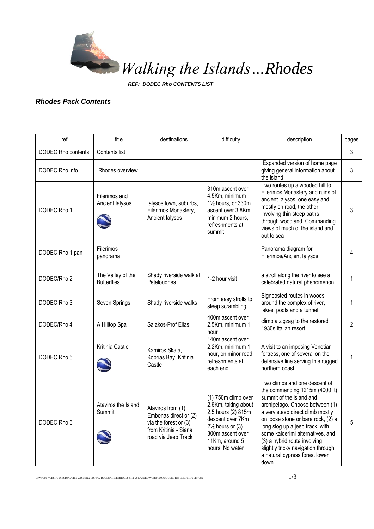

*REF: DODEC Rho CONTENTS LIST*

## *Rhodes Pack Contents*

| ref                       | title                                   | destinations                                                                                                          | difficulty                                                                                                                                                                   | description                                                                                                                                                                                                                                                                                                                                                                                     | pages          |
|---------------------------|-----------------------------------------|-----------------------------------------------------------------------------------------------------------------------|------------------------------------------------------------------------------------------------------------------------------------------------------------------------------|-------------------------------------------------------------------------------------------------------------------------------------------------------------------------------------------------------------------------------------------------------------------------------------------------------------------------------------------------------------------------------------------------|----------------|
| <b>DODEC Rho contents</b> | Contents list                           |                                                                                                                       |                                                                                                                                                                              |                                                                                                                                                                                                                                                                                                                                                                                                 | 3              |
| DODEC Rho info            | Rhodes overview                         |                                                                                                                       |                                                                                                                                                                              | Expanded version of home page<br>giving general information about<br>the island.                                                                                                                                                                                                                                                                                                                | 3              |
| DODEC Rho 1               | Filerimos and<br>Ancient lalysos        | lalysos town, suburbs,<br>Filerimos Monastery,<br>Ancient lalysos                                                     | 310m ascent over<br>4.5Km, minimum<br>11/2 hours, or 330m<br>ascent over 3.8Km,<br>minimum 2 hours,<br>refreshments at<br>summit                                             | Two routes up a wooded hill to<br>Filerimos Monastery and ruins of<br>ancient lalysos, one easy and<br>mostly on road, the other<br>involving thin steep paths<br>through woodland. Commanding<br>views of much of the island and<br>out to sea                                                                                                                                                 | 3              |
| DODEC Rho 1 pan           | Filerimos<br>panorama                   |                                                                                                                       |                                                                                                                                                                              | Panorama diagram for<br>Filerimos/Ancient lalysos                                                                                                                                                                                                                                                                                                                                               | 4              |
| DODEC/Rho 2               | The Valley of the<br><b>Butterflies</b> | Shady riverside walk at<br>Petaloudhes                                                                                | 1-2 hour visit                                                                                                                                                               | a stroll along the river to see a<br>celebrated natural phenomenon                                                                                                                                                                                                                                                                                                                              | 1              |
| DODEC Rho 3               | Seven Springs                           | Shady riverside walks                                                                                                 | From easy strolls to<br>steep scrambling                                                                                                                                     | Signposted routes in woods<br>around the complex of river,<br>lakes, pools and a tunnel                                                                                                                                                                                                                                                                                                         | 1              |
| DODEC/Rho 4               | A Hilltop Spa                           | Salakos-Prof Elias                                                                                                    | 400m ascent over<br>2.5Km, minimum 1<br>hour                                                                                                                                 | climb a zigzag to the restored<br>1930s Italian resort                                                                                                                                                                                                                                                                                                                                          | $\overline{2}$ |
| DODEC Rho 5               | Kritinia Castle                         | Kamiros Skala,<br>Koprias Bay, Kritinia<br>Castle                                                                     | 140m ascent over<br>2.2Km, minimum 1<br>hour, on minor road,<br>refreshments at<br>each end                                                                                  | A visit to an imposing Venetian<br>fortress, one of several on the<br>defensive line serving this rugged<br>northern coast.                                                                                                                                                                                                                                                                     | 1              |
| DODEC Rho 6               | Ataviros the Island<br>Summit           | Ataviros from (1)<br>Embonas direct or (2)<br>via the forest or $(3)$<br>from Kritinia - Siana<br>road via Jeep Track | (1) 750m climb over<br>2.6Km, taking about<br>2.5 hours (2) 815m<br>descent over 7Km<br>$2\frac{1}{2}$ hours or (3)<br>800m ascent over<br>11Km, around 5<br>hours. No water | Two climbs and one descent of<br>the commanding 1215m (4000 ft)<br>summit of the island and<br>archipelago. Choose between (1)<br>a very steep direct climb mostly<br>on loose stone or bare rock, (2) a<br>long slog up a jeep track, with<br>some kalderimi alternatives, and<br>(3) a hybrid route involving<br>slightly tricky navigation through<br>a natural cypress forest lower<br>down | 5              |

L:\WtI\000 WEBSITE ORIGINAL\SITE WORKING COPY\02 DODECANESE\RHODES SITE 2017\WORD\WORD TO GO\DODEC Rho CONTENTS LIST.doc  $1/3$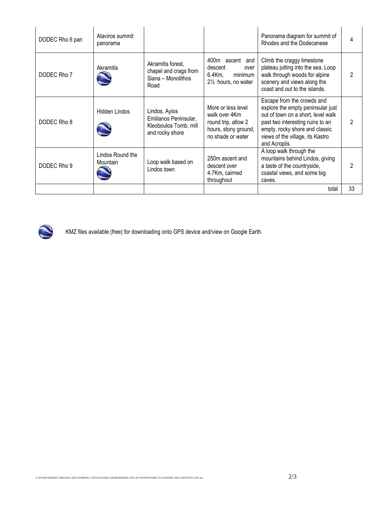| DODEC Rho 6 pan | Ataviros summit<br>panorama  |                                                                                    |                                                                                                         | Panorama diagram for summit of<br>Rhodes and the Dodecanese                                                                                                                                                                      |                |
|-----------------|------------------------------|------------------------------------------------------------------------------------|---------------------------------------------------------------------------------------------------------|----------------------------------------------------------------------------------------------------------------------------------------------------------------------------------------------------------------------------------|----------------|
| DODEC Rho 7     | Akramitis                    | Akramitis forest,<br>chapel and crags from<br>Siana - Monolithos<br>Road           | 400m ascent and<br>descent<br>over<br>6.4Km.<br>minimum<br>$2\frac{1}{2}$ hours, no water               | Climb the craggy limestone<br>plateau jutting into the sea. Loop<br>walk through woods for alpine<br>scenery and views along the<br>coast and out to the islands.                                                                |                |
| DODEC Rho 8     | Hidden Lindos                | Lindos, Ayios<br>Emilianos Peninsular,<br>Kleoboulos Tomb, mill<br>and rocky shore | More or less level<br>walk over 4Km<br>round trip, allow 2<br>hours, stony ground,<br>no shade or water | Escape from the crowds and<br>explore the empty peninsular just<br>out of town on a short, level walk<br>past two interesting ruins to an<br>empty, rocky shore and classic<br>views of the village, its Kastro<br>and Acroplis. | $\mathfrak{p}$ |
| DODEC Rho 9     | Lindos Round the<br>Mountain | Loop walk based on<br>Lindos town                                                  | 250m ascent and<br>descent over<br>4.7Km, cairned<br>throughout                                         | A loop walk through the<br>mountains behind Lindos, giving<br>a taste of the countryside,<br>coastal views, and some big<br>caves.                                                                                               | 2              |
|                 |                              |                                                                                    |                                                                                                         | total                                                                                                                                                                                                                            | 33             |



KMZ files available (free) for downloading onto GPS device and/view on Google Earth.

L:\WtI\000 WEBSITE ORIGINAL\SITE WORKING COPY\02 DODECANESE\RHODES SITE 2017\WORD\WORD TO GO\DODEC Rho CONTENTS LIST.doc  $2/3$